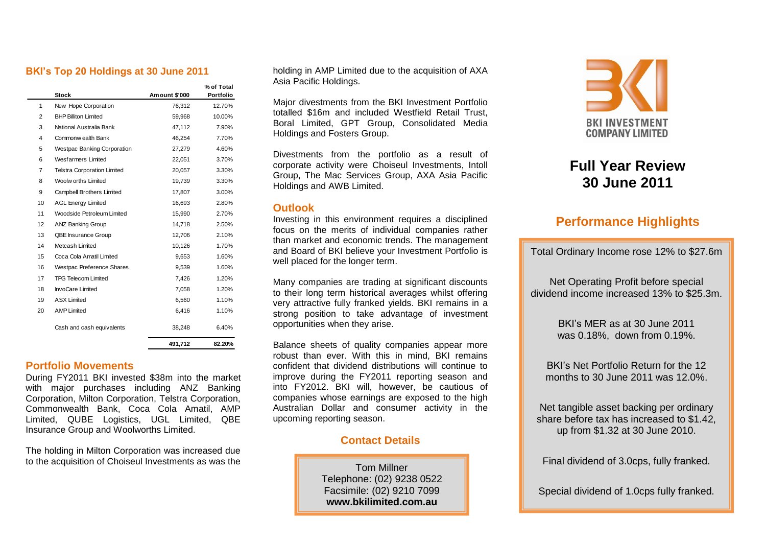#### **BKI's Top 20 Holdings at 30 June 2011**

|                 | <b>Stock</b>                       | Am ount \$'000 | % of Total<br>Portfolio |
|-----------------|------------------------------------|----------------|-------------------------|
| 1               | New Hope Corporation               | 76,312         | 12.70%                  |
| 2               | <b>BHP Billiton Limited</b>        | 59.968         | 10.00%                  |
| 3               | National Australia Bank            | 47,112         | 7.90%                   |
| 4               | Commonw ealth Bank                 | 46,254         | 7.70%                   |
| 5               | <b>Westpac Banking Corporation</b> | 27,279         | 4.60%                   |
| 6               | <b>Wesfarmers Limited</b>          | 22,051         | 3.70%                   |
| 7               | <b>Telstra Corporation Limited</b> | 20.057         | 3.30%                   |
| 8               | Woolw orths Limited                | 19,739         | 3.30%                   |
| 9               | Campbell Brothers Limited          | 17,807         | 3.00%                   |
| 10 <sup>1</sup> | <b>AGL Energy Limited</b>          | 16,693         | 2.80%                   |
| 11              | Woodside Petroleum Limited         | 15,990         | 2.70%                   |
| 12              | ANZ Banking Group                  | 14,718         | 2.50%                   |
| 13              | QBE Insurance Group                | 12,706         | 2.10%                   |
| 14              | Metcash Limited                    | 10,126         | 1.70%                   |
| 15              | Coca Cola Amatil Limited           | 9,653          | 1.60%                   |
| 16              | Westpac Preference Shares          | 9,539          | 1.60%                   |
| 17              | <b>TPG Telecom Limited</b>         | 7,426          | 1.20%                   |
| 18              | <b>InvoCare Limited</b>            | 7,058          | 1.20%                   |
| 19              | <b>ASX Limited</b>                 | 6,560          | 1.10%                   |
| 20              | <b>AMP Limited</b>                 | 6,416          | 1.10%                   |
|                 | Cash and cash equivalents          | 38,248         | 6.40%                   |
|                 |                                    | 491,712        | 82.20%                  |

#### **Portfolio Movements**

During FY2011 BKI invested \$38m into the market with major purchases including ANZ Banking Corporation, Milton Corporation, Telstra Corporation, Commonwealth Bank, Coca Cola Amatil, AMP Limited, QUBE Logistics, UGL Limited, QBE Insurance Group and Woolworths Limited.

The holding in Milton Corporation was increased due to the acquisition of Choiseul Investments as was the

holding in AMP Limited due to the acquisition of AXA Asia Pacific Holdings.

Major divestments from the BKI Investment Portfolio totalled \$16m and included Westfield Retail Trust, Boral Limited, GPT Group, Consolidated Media Holdings and Fosters Group.

Divestments from the portfolio as a result of corporate activity were Choiseul Investments, Intoll Group, The Mac Services Group, AXA Asia Pacific Holdings and AWB Limited.

#### **Outlook**

Investing in this environment requires a disciplined focus on the merits of individual companies rather than market and economic trends. The management and Board of BKI believe your Investment Portfolio is well placed for the longer term.

Many companies are trading at significant discounts to their long term historical averages whilst offering very attractive fully franked yields. BKI remains in a strong position to take advantage of investment opportunities when they arise.

Balance sheets of quality companies appear more robust than ever. With this in mind, BKI remains confident that dividend distributions will continue to improve during the FY2011 reporting season and into FY2012. BKI will, however, be cautious of companies whose earnings are exposed to the high Australian Dollar and consumer activity in the upcoming reporting season.

### **Contact Details**

Tom Millner Telephone: (02) 9238 0522 Facsimile: (02) 9210 7099 **[www.bkilimited.com.au](http://www.bkilimited.com.au/)**



# **Full Year Review 30 June 2011**

## **Performance Highlights**

Total Ordinary Income rose 12% to \$27.6m

Net Operating Profit before special dividend income increased 13% to \$25.3m.

> BKI's MER as at 30 June 2011 was 0.18%, down from 0.19%.

BKI's Net Portfolio Return for the 12 months to 30 June 2011 was 12.0%.

Net tangible asset backing per ordinary share before tax has increased to \$1.42, up from \$1.32 at 30 June 2010.

Final dividend of 3.0cps, fully franked.

Special dividend of 1.0cps fully franked.